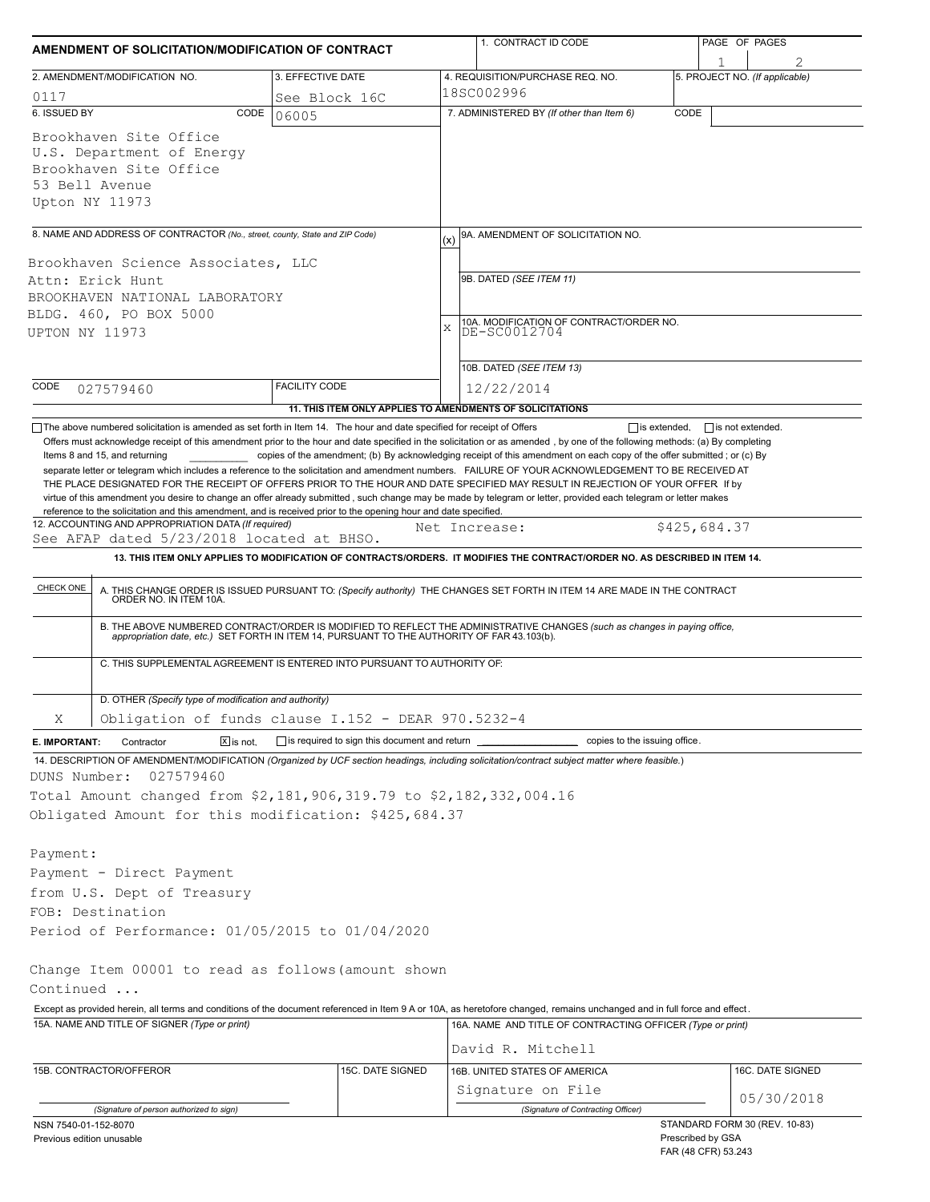| AMENDMENT OF SOLICITATION/MODIFICATION OF CONTRACT                                                                                                                                                                                                                                                                                                                                                                                                                                                                                                                                                                                  |                                                           | 1. CONTRACT ID CODE |                                                                                                                                                                                                                          | PAGE OF PAGES |                                |  |  |  |
|-------------------------------------------------------------------------------------------------------------------------------------------------------------------------------------------------------------------------------------------------------------------------------------------------------------------------------------------------------------------------------------------------------------------------------------------------------------------------------------------------------------------------------------------------------------------------------------------------------------------------------------|-----------------------------------------------------------|---------------------|--------------------------------------------------------------------------------------------------------------------------------------------------------------------------------------------------------------------------|---------------|--------------------------------|--|--|--|
| 2. AMENDMENT/MODIFICATION NO.                                                                                                                                                                                                                                                                                                                                                                                                                                                                                                                                                                                                       | 3. EFFECTIVE DATE                                         |                     | 4. REQUISITION/PURCHASE REQ. NO.                                                                                                                                                                                         |               | 5. PROJECT NO. (If applicable) |  |  |  |
| 0117                                                                                                                                                                                                                                                                                                                                                                                                                                                                                                                                                                                                                                | See Block 16C                                             |                     | 18SC002996                                                                                                                                                                                                               |               |                                |  |  |  |
| 6. ISSUED BY<br>CODE                                                                                                                                                                                                                                                                                                                                                                                                                                                                                                                                                                                                                | 06005                                                     |                     | 7. ADMINISTERED BY (If other than Item 6)                                                                                                                                                                                | CODE          |                                |  |  |  |
| Brookhaven Site Office<br>U.S. Department of Energy<br>Brookhaven Site Office<br>53 Bell Avenue<br>Upton NY 11973                                                                                                                                                                                                                                                                                                                                                                                                                                                                                                                   |                                                           |                     |                                                                                                                                                                                                                          |               |                                |  |  |  |
| 8. NAME AND ADDRESS OF CONTRACTOR (No., street, county, State and ZIP Code)                                                                                                                                                                                                                                                                                                                                                                                                                                                                                                                                                         |                                                           | (x)                 | 9A. AMENDMENT OF SOLICITATION NO.                                                                                                                                                                                        |               |                                |  |  |  |
| Brookhaven Science Associates, LLC<br>Attn: Erick Hunt                                                                                                                                                                                                                                                                                                                                                                                                                                                                                                                                                                              |                                                           |                     | 9B. DATED (SEE ITEM 11)                                                                                                                                                                                                  |               |                                |  |  |  |
| BROOKHAVEN NATIONAL LABORATORY                                                                                                                                                                                                                                                                                                                                                                                                                                                                                                                                                                                                      |                                                           |                     |                                                                                                                                                                                                                          |               |                                |  |  |  |
| BLDG. 460, PO BOX 5000                                                                                                                                                                                                                                                                                                                                                                                                                                                                                                                                                                                                              |                                                           |                     |                                                                                                                                                                                                                          |               |                                |  |  |  |
| UPTON NY 11973                                                                                                                                                                                                                                                                                                                                                                                                                                                                                                                                                                                                                      |                                                           | X                   | 10A. MODIFICATION OF CONTRACT/ORDER NO.<br>DE-SC0012704                                                                                                                                                                  |               |                                |  |  |  |
|                                                                                                                                                                                                                                                                                                                                                                                                                                                                                                                                                                                                                                     |                                                           |                     | 10B. DATED (SEE ITEM 13)                                                                                                                                                                                                 |               |                                |  |  |  |
| CODE<br>027579460                                                                                                                                                                                                                                                                                                                                                                                                                                                                                                                                                                                                                   | <b>FACILITY CODE</b>                                      |                     | 12/22/2014                                                                                                                                                                                                               |               |                                |  |  |  |
|                                                                                                                                                                                                                                                                                                                                                                                                                                                                                                                                                                                                                                     | 11. THIS ITEM ONLY APPLIES TO AMENDMENTS OF SOLICITATIONS |                     |                                                                                                                                                                                                                          |               |                                |  |  |  |
| separate letter or telegram which includes a reference to the solicitation and amendment numbers. FAILURE OF YOUR ACKNOWLEDGEMENT TO BE RECEIVED AT<br>THE PLACE DESIGNATED FOR THE RECEIPT OF OFFERS PRIOR TO THE HOUR AND DATE SPECIFIED MAY RESULT IN REJECTION OF YOUR OFFER If by<br>virtue of this amendment you desire to change an offer already submitted, such change may be made by telegram or letter, provided each telegram or letter makes<br>reference to the solicitation and this amendment, and is received prior to the opening hour and date specified.<br>12. ACCOUNTING AND APPROPRIATION DATA (If required) |                                                           | Net Increase:       |                                                                                                                                                                                                                          |               | \$425,684.37                   |  |  |  |
| See AFAP dated 5/23/2018 located at BHSO.                                                                                                                                                                                                                                                                                                                                                                                                                                                                                                                                                                                           |                                                           |                     |                                                                                                                                                                                                                          |               |                                |  |  |  |
|                                                                                                                                                                                                                                                                                                                                                                                                                                                                                                                                                                                                                                     |                                                           |                     | 13. THIS ITEM ONLY APPLIES TO MODIFICATION OF CONTRACTS/ORDERS. IT MODIFIES THE CONTRACT/ORDER NO. AS DESCRIBED IN ITEM 14.                                                                                              |               |                                |  |  |  |
| CHECK ONE                                                                                                                                                                                                                                                                                                                                                                                                                                                                                                                                                                                                                           |                                                           |                     | A. THIS CHANGE ORDER IS ISSUED PURSUANT TO: (Specify authority) THE CHANGES SET FORTH IN ITEM 14 ARE MADE IN THE CONTRACT ORDER NO. IN ITEM 10A.                                                                         |               |                                |  |  |  |
|                                                                                                                                                                                                                                                                                                                                                                                                                                                                                                                                                                                                                                     |                                                           |                     | B. THE ABOVE NUMBERED CONTRACT/ORDER IS MODIFIED TO REFLECT THE ADMINISTRATIVE CHANGES (such as changes in paying office,<br>appropriation date, etc.) SET FORTH IN ITEM 14, PURSUANT TO THE AUTHORITY OF FAR 43.103(b). |               |                                |  |  |  |
| C. THIS SUPPLEMENTAL AGREEMENT IS ENTERED INTO PURSUANT TO AUTHORITY OF:                                                                                                                                                                                                                                                                                                                                                                                                                                                                                                                                                            |                                                           |                     |                                                                                                                                                                                                                          |               |                                |  |  |  |
| D. OTHER (Specify type of modification and authority)                                                                                                                                                                                                                                                                                                                                                                                                                                                                                                                                                                               |                                                           |                     |                                                                                                                                                                                                                          |               |                                |  |  |  |
| Obligation of funds clause I.152 - DEAR 970.5232-4<br>Χ                                                                                                                                                                                                                                                                                                                                                                                                                                                                                                                                                                             |                                                           |                     |                                                                                                                                                                                                                          |               |                                |  |  |  |
| $\boxed{\mathbf{X}}$ is not.<br>Contractor<br>E. IMPORTANT:                                                                                                                                                                                                                                                                                                                                                                                                                                                                                                                                                                         | is required to sign this document and return              |                     | copies to the issuing office.                                                                                                                                                                                            |               |                                |  |  |  |
| 14. DESCRIPTION OF AMENDMENT/MODIFICATION (Organized by UCF section headings, including solicitation/contract subject matter where feasible.)<br>DUNS Number:<br>027579460                                                                                                                                                                                                                                                                                                                                                                                                                                                          |                                                           |                     |                                                                                                                                                                                                                          |               |                                |  |  |  |
| Total Amount changed from \$2,181,906,319.79 to \$2,182,332,004.16                                                                                                                                                                                                                                                                                                                                                                                                                                                                                                                                                                  |                                                           |                     |                                                                                                                                                                                                                          |               |                                |  |  |  |
| Obligated Amount for this modification: \$425,684.37                                                                                                                                                                                                                                                                                                                                                                                                                                                                                                                                                                                |                                                           |                     |                                                                                                                                                                                                                          |               |                                |  |  |  |
| Payment:                                                                                                                                                                                                                                                                                                                                                                                                                                                                                                                                                                                                                            |                                                           |                     |                                                                                                                                                                                                                          |               |                                |  |  |  |
| Payment - Direct Payment                                                                                                                                                                                                                                                                                                                                                                                                                                                                                                                                                                                                            |                                                           |                     |                                                                                                                                                                                                                          |               |                                |  |  |  |
| from U.S. Dept of Treasury                                                                                                                                                                                                                                                                                                                                                                                                                                                                                                                                                                                                          |                                                           |                     |                                                                                                                                                                                                                          |               |                                |  |  |  |
| FOB: Destination                                                                                                                                                                                                                                                                                                                                                                                                                                                                                                                                                                                                                    |                                                           |                     |                                                                                                                                                                                                                          |               |                                |  |  |  |
| Period of Performance: 01/05/2015 to 01/04/2020                                                                                                                                                                                                                                                                                                                                                                                                                                                                                                                                                                                     |                                                           |                     |                                                                                                                                                                                                                          |               |                                |  |  |  |
|                                                                                                                                                                                                                                                                                                                                                                                                                                                                                                                                                                                                                                     |                                                           |                     |                                                                                                                                                                                                                          |               |                                |  |  |  |
| Change Item 00001 to read as follows (amount shown<br>Continued                                                                                                                                                                                                                                                                                                                                                                                                                                                                                                                                                                     |                                                           |                     |                                                                                                                                                                                                                          |               |                                |  |  |  |
|                                                                                                                                                                                                                                                                                                                                                                                                                                                                                                                                                                                                                                     |                                                           |                     |                                                                                                                                                                                                                          |               |                                |  |  |  |
| Except as provided herein, all terms and conditions of the document referenced in Item 9 A or 10A, as heretofore changed, remains unchanged and in full force and effect.<br>15A. NAME AND TITLE OF SIGNER (Type or print)                                                                                                                                                                                                                                                                                                                                                                                                          |                                                           |                     | 16A. NAME AND TITLE OF CONTRACTING OFFICER (Type or print)                                                                                                                                                               |               |                                |  |  |  |
|                                                                                                                                                                                                                                                                                                                                                                                                                                                                                                                                                                                                                                     |                                                           |                     | David R. Mitchell                                                                                                                                                                                                        |               |                                |  |  |  |
| 15B. CONTRACTOR/OFFEROR                                                                                                                                                                                                                                                                                                                                                                                                                                                                                                                                                                                                             | 15C. DATE SIGNED                                          |                     | 16B. UNITED STATES OF AMERICA                                                                                                                                                                                            |               | 16C. DATE SIGNED               |  |  |  |
|                                                                                                                                                                                                                                                                                                                                                                                                                                                                                                                                                                                                                                     |                                                           |                     | Signature on File                                                                                                                                                                                                        |               |                                |  |  |  |
|                                                                                                                                                                                                                                                                                                                                                                                                                                                                                                                                                                                                                                     |                                                           |                     | (Signature of Contracting Officer)                                                                                                                                                                                       |               | 05/30/2018                     |  |  |  |
| (Signature of person authorized to sign)<br>NSN 7540-01-152-8070                                                                                                                                                                                                                                                                                                                                                                                                                                                                                                                                                                    |                                                           |                     |                                                                                                                                                                                                                          |               | STANDARD FORM 30 (REV. 10-83)  |  |  |  |
| Previous edition unusable                                                                                                                                                                                                                                                                                                                                                                                                                                                                                                                                                                                                           |                                                           |                     |                                                                                                                                                                                                                          |               | Prescribed by GSA              |  |  |  |

FAR (48 CFR) 53.243